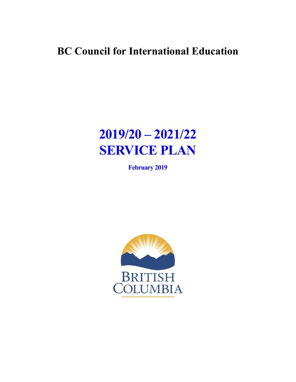# **BC Council for International Education**

# **2019/20 – 2021/22 SERVICE PLAN**

**February 2019**

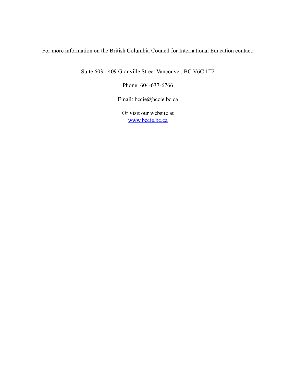For more information on the British Columbia Council for International Education contact:

Suite 603 - 409 Granville Street Vancouver, BC V6C 1T2

Phone: 604-637-6766

Email: bccie@bccie.bc.ca

Or visit our website at [www.bccie.bc.ca](http://www.bccie.bc.ca)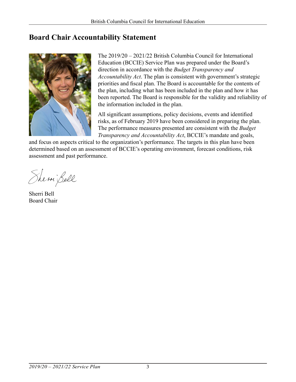# **Board Chair Accountability Statement**



The 2019/20 – 2021/22 British Columbia Council for International Education (BCCIE) Service Plan was prepared under the Board's direction in accordance with the *Budget Transparency and Accountability Act*. The plan is consistent with government's strategic priorities and fiscal plan. The Board is accountable for the contents of the plan, including what has been included in the plan and how it has been reported. The Board is responsible for the validity and reliability of the information included in the plan.

All significant assumptions, policy decisions, events and identified risks, as of February 2019 have been considered in preparing the plan. The performance measures presented are consistent with the *Budget Transparency and Accountability Act*, BCCIE's mandate and goals,

and focus on aspects critical to the organization's performance. The targets in this plan have been determined based on an assessment of BCCIE's operating environment, forecast conditions, risk assessment and past performance.

Shemi Bell

Sherri Bell Board Chair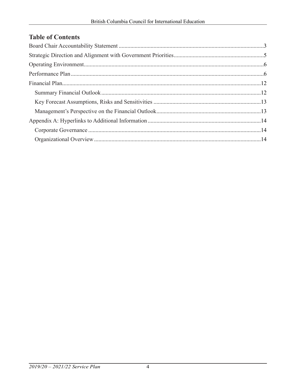# **Table of Contents**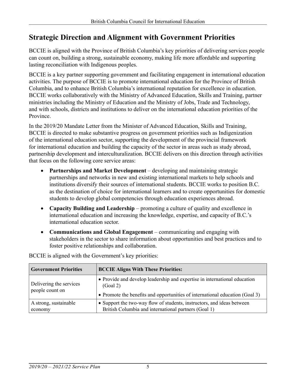# **Strategic Direction and Alignment with Government Priorities**

BCCIE is aligned with the Province of British Columbia's key priorities of delivering services people can count on, building a strong, sustainable economy, making life more affordable and supporting lasting reconciliation with Indigenous peoples.

BCCIE is a key partner supporting government and facilitating engagement in international education activities. The purpose of BCCIE is to promote international education for the Province of British Columbia, and to enhance British Columbia's international reputation for excellence in education. BCCIE works collaboratively with the Ministry of Advanced Education, Skills and Training, partner ministries including the Ministry of Education and the Ministry of Jobs, Trade and Technology, and with schools, districts and institutions to deliver on the international education priorities of the Province.

In the 2019/20 Mandate Letter from the Minister of Advanced Education, Skills and Training, BCCIE is directed to make substantive progress on government priorities such as Indigenization of the international education sector, supporting the development of the provincial framework for international education and building the capacity of the sector in areas such as study abroad, partnership development and interculturalization. BCCIE delivers on this direction through activities that focus on the following core service areas:

- • **Partnerships and Market Development** developing and maintaining strategic partnerships and networks in new and existing international markets to help schools and institutions diversify their sources of international students. BCCIE works to position B.C. as the destination of choice for international learners and to create opportunities for domestic students to develop global competencies through education experiences abroad.
- • **Capacity Building and Leadership** promoting a culture of quality and excellence in international education and increasing the knowledge, expertise, and capacity of B.C.'s international education sector.
- • **Communications and Global Engagement** communicating and engaging with stakeholders in the sector to share information about opportunities and best practices and to foster positive relationships and collaboration.

| <b>Government Priorities</b>               | <b>BCCIE Aligns With These Priorities:</b>                                                                                                                            |
|--------------------------------------------|-----------------------------------------------------------------------------------------------------------------------------------------------------------------------|
| Delivering the services<br>people count on | • Provide and develop leadership and expertise in international education<br>(Goal 2)<br>• Promote the benefits and opportunities of international education (Goal 3) |
| A strong, sustainable<br>economy           | • Support the two-way flow of students, instructors, and ideas between<br>British Columbia and international partners (Goal 1)                                        |

BCCIE is aligned with the Government's key priorities: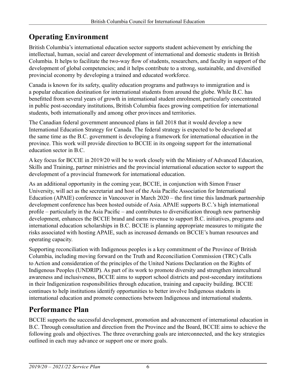# **Operating Environment**

British Columbia's international education sector supports student achievement by enriching the intellectual, human, social and career development of international and domestic students in British Columbia. It helps to facilitate the two-way flow of students, researchers, and faculty in support of the development of global competencies; and it helps contribute to a strong, sustainable, and diversified provincial economy by developing a trained and educated workforce.

Canada is known for its safety, quality education programs and pathways to immigration and is a popular education destination for international students from around the globe. While B.C. has benefitted from several years of growth in international student enrolment, particularly concentrated in public post-secondary institutions, British Columbia faces growing competition for international students, both internationally and among other provinces and territories.

The Canadian federal government announced plans in fall 2018 that it would develop a new International Education Strategy for Canada. The federal strategy is expected to be developed at the same time as the B.C. government is developing a framework for international education in the province. This work will provide direction to BCCIE in its ongoing support for the international education sector in B.C.

A key focus for BCCIE in 2019/20 will be to work closely with the Ministry of Advanced Education, Skills and Training, partner ministries and the provincial international education sector to support the development of a provincial framework for international education.

As an additional opportunity in the coming year, BCCIE, in conjunction with Simon Fraser University, will act as the secretariat and host of the Asia Pacific Association for International Education (APAIE) conference in Vancouver in March 2020 – the first time this landmark partnership development conference has been hosted outside of Asia. APAIE supports B.C.'s high international profile – particularly in the Asia Pacific – and contributes to diversification through new partnership development, enhances the BCCIE brand and earns revenue to support B.C. initiatives, programs and international education scholarships in B.C. BCCIE is planning appropriate measures to mitigate the risks associated with hosting APAIE, such as increased demands on BCCIE's human resources and operating capacity.

Supporting reconciliation with Indigenous peoples is a key commitment of the Province of British Columbia, including moving forward on the Truth and Reconciliation Commission (TRC) Calls to Action and consideration of the principles of the United Nations Declaration on the Rights of Indigenous Peoples (UNDRIP). As part of its work to promote diversity and strengthen intercultural awareness and inclusiveness, BCCIE aims to support school districts and post-secondary institutions in their Indigenization responsibilities through education, training and capacity building. BCCIE continues to help institutions identify opportunities to better involve Indigenous students in international education and promote connections between Indigenous and international students.

# **Performance Plan**

BCCIE supports the successful development, promotion and advancement of international education in B.C. Through consultation and direction from the Province and the Board, BCCIE aims to achieve the following goals and objectives. The three overarching goals are interconnected, and the key strategies outlined in each may advance or support one or more goals.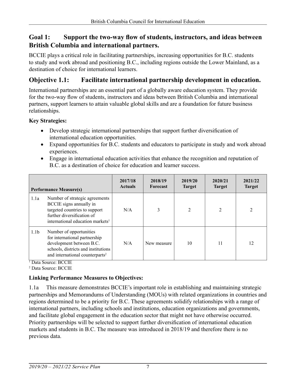### **Goal 1: Support the two-way flow of students, instructors, and ideas between British Columbia and international partners.**

BCCIE plays a critical role in facilitating partnerships, increasing opportunities for B.C. students to study and work abroad and positioning B.C., including regions outside the Lower Mainland, as a destination of choice for international learners.

# **Objective 1.1: Facilitate international partnership development in education.**

International partnerships are an essential part of a globally aware education system. They provide for the two-way flow of students, instructors and ideas between British Columbia and international partners, support learners to attain valuable global skills and are a foundation for future business relationships.

#### **Key Strategies:**

- Develop strategic international partnerships that support further diversification of international education opportunities.
- Expand opportunities for B.C. students and educators to participate in study and work abroad experiences.
- Engage in international education activities that enhance the recognition and reputation of B.C. as a destination of choice for education and learner success.

|                  | <b>Performance Measure(s)</b>                                                                                                                                              | 2017/18<br><b>Actuals</b> | 2018/19<br>Forecast | 2019/20<br><b>Target</b> | 2020/21<br><b>Target</b> | 2021/22<br><b>Target</b> |
|------------------|----------------------------------------------------------------------------------------------------------------------------------------------------------------------------|---------------------------|---------------------|--------------------------|--------------------------|--------------------------|
| 1.1a             | Number of strategic agreements<br>BCCIE signs annually in<br>targeted countries to support<br>further diversification of<br>international education markets <sup>1</sup>   | N/A                       | 3                   | $\overline{2}$           | 2                        | 2                        |
| 1.1 <sub>b</sub> | Number of opportunities<br>for international partnership<br>development between B.C.<br>schools, districts and institutions<br>and international counterparts <sup>2</sup> | N/A                       | New measure         | 10                       | 11                       | 12                       |

<sup>1</sup> Data Source: BCCIE

2 Data Source: BCCIE

#### **Linking Performance Measures to Objectives:**

1.1a This measure demonstrates BCCIE's important role in establishing and maintaining strategic partnerships and Memorandums of Understanding (MOUs) with related organizations in countries and regions determined to be a priority for B.C. These agreements solidify relationships with a range of international partners, including schools and institutions, education organizations and governments, and facilitate global engagement in the education sector that might not have otherwise occurred. Priority partnerships will be selected to support further diversification of international education markets and students in B.C. The measure was introduced in 2018/19 and therefore there is no previous data.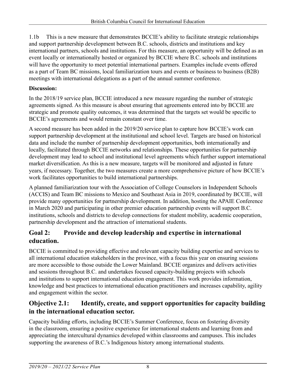1.1b This is a new measure that demonstrates BCCIE's ability to facilitate strategic relationships and support partnership development between B.C. schools, districts and institutions and key international partners, schools and institutions. For this measure, an opportunity will be defined as an event locally or internationally hosted or organized by BCCIE where B.C. schools and institutions will have the opportunity to meet potential international partners. Examples include events offered as a part of Team BC missions, local familiarization tours and events or business to business (B2B) meetings with international delegations as a part of the annual summer conference.

#### **Discussion:**

In the 2018/19 service plan, BCCIE introduced a new measure regarding the number of strategic agreements signed. As this measure is about ensuring that agreements entered into by BCCIE are strategic and promote quality outcomes, it was determined that the targets set would be specific to BCCIE's agreements and would remain constant over time.

A second measure has been added in the 2019/20 service plan to capture how BCCIE's work can support partnership development at the institutional and school level. Targets are based on historical data and include the number of partnership development opportunities, both internationally and locally, facilitated through BCCIE networks and relationships. These opportunities for partnership development may lead to school and institutional level agreements which further support international market diversification. As this is a new measure, targets will be monitored and adjusted in future years, if necessary. Together, the two measures create a more comprehensive picture of how BCCIE's work facilitates opportunities to build international partnerships.

A planned familiarization tour with the Association of College Counselors in Independent Schools (ACCIS) and Team BC missions to Mexico and Southeast Asia in 2019, coordinated by BCCIE, will provide many opportunities for partnership development. In addition, hosting the APAIE Conference in March 2020 and participating in other premier education partnership events will support B.C. institutions, schools and districts to develop connections for student mobility, academic cooperation, partnership development and the attraction of international students.

# **Goal 2: Provide and develop leadership and expertise in international education.**

BCCIE is committed to providing effective and relevant capacity building expertise and services to all international education stakeholders in the province, with a focus this year on ensuring sessions are more accessible to those outside the Lower Mainland. BCCIE organizes and delivers activities and sessions throughout B.C. and undertakes focused capacity-building projects with schools and institutions to support international education engagement. This work provides information, knowledge and best practices to international education practitioners and increases capability, agility and engagement within the sector.

# **Objective 2.1: Identify, create, and support opportunities for capacity building in the international education sector.**

Capacity building efforts, including BCCIE's Summer Conference, focus on fostering diversity in the classroom, ensuring a positive experience for international students and learning from and appreciating the intercultural dynamics developed within classrooms and campuses. This includes supporting the awareness of B.C.'s Indigenous history among international students.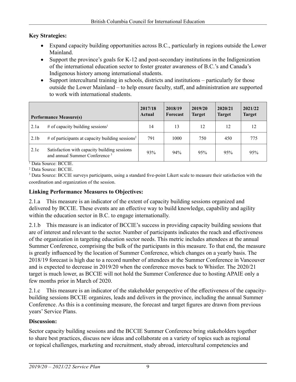#### **Key Strategies:**

- Expand capacity building opportunities across B.C., particularly in regions outside the Lower Mainland.
- Support the province's goals for K-12 and post-secondary institutions in the Indigenization of the international education sector to foster greater awareness of B.C.'s and Canada's Indigenous history among international students.
- Support intercultural training in schools, districts and institutions particularly for those outside the Lower Mainland – to help ensure faculty, staff, and administration are supported to work with international students.

|                  | <b>Performance Measure(s)</b>                                                             | 2017/18<br>Actual | 2018/19<br>Forecast | 2019/20<br><b>Target</b> | 2020/21<br><b>Target</b> | 2021/22<br><b>Target</b> |
|------------------|-------------------------------------------------------------------------------------------|-------------------|---------------------|--------------------------|--------------------------|--------------------------|
| 2.1a             | # of capacity building sessions <sup>1</sup>                                              | 14                | 13                  | 12                       | 12                       | 12                       |
| 2.1 <sub>b</sub> | $#$ of participants at capacity building sessions <sup>2</sup>                            | 791               | 1000                | 750                      | 450                      | 775                      |
| 2.1c             | Satisfaction with capacity building sessions<br>and annual Summer Conference <sup>3</sup> | 93%               | 94%                 | 95%                      | 95%                      | 95%                      |

1 Data Source: BCCIE. 2 Data Source: BCCIE.

<sup>3</sup> Data Source: BCCIE surveys participants, using a standard five-point Likert scale to measure their satisfaction with the coordination and organization of the session.

#### **Linking Performance Measures to Objectives:**

2.1.a This measure is an indicator of the extent of capacity building sessions organized and delivered by BCCIE. These events are an effective way to build knowledge, capability and agility within the education sector in B.C. to engage internationally.

2.1.b This measure is an indicator of BCCIE's success in providing capacity building sessions that are of interest and relevant to the sector. Number of participants indicates the reach and effectiveness of the organization in targeting education sector needs. This metric includes attendees at the annual Summer Conference, comprising the bulk of the participants in this measure. To that end, the measure is greatly influenced by the location of Summer Conference, which changes on a yearly basis. The 2018/19 forecast is high due to a record number of attendees at the Summer Conference in Vancouver and is expected to decrease in 2019/20 when the conference moves back to Whistler. The 2020/21 target is much lower, as BCCIE will not hold the Summer Conference due to hosting APAIE only a few months prior in March of 2020.

2.1.c This measure is an indicator of the stakeholder perspective of the effectiveness of the capacitybuilding sessions BCCIE organizes, leads and delivers in the province, including the annual Summer Conference. As this is a continuing measure, the forecast and target figures are drawn from previous years' Service Plans.

#### **Discussion:**

Sector capacity building sessions and the BCCIE Summer Conference bring stakeholders together to share best practices, discuss new ideas and collaborate on a variety of topics such as regional or topical challenges, marketing and recruitment, study abroad, intercultural competencies and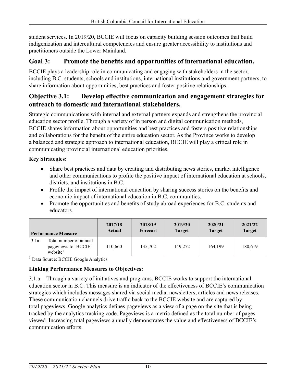student services. In 2019/20, BCCIE will focus on capacity building session outcomes that build indigenization and intercultural competencies and ensure greater accessibility to institutions and practitioners outside the Lower Mainland.

#### **Goal 3: Promote the benefits and opportunities of international education.**

BCCIE plays a leadership role in communicating and engaging with stakeholders in the sector, including B.C. students, schools and institutions, international institutions and government partners, to share information about opportunities, best practices and foster positive relationships.

### **Objective 3.1: Develop effective communication and engagement strategies for outreach to domestic and international stakeholders.**

Strategic communications with internal and external partners expands and strengthens the provincial education sector profile. Through a variety of in person and digital communication methods, BCCIE shares information about opportunities and best practices and fosters positive relationships and collaborations for the benefit of the entire education sector. As the Province works to develop a balanced and strategic approach to international education, BCCIE will play a critical role in communicating provincial international education priorities.

#### **Key Strategies:**

- Share best practices and data by creating and distributing news stories, market intelligence and other communications to profile the positive impact of international education at schools, districts, and institutions in B.C.
- Profile the impact of international education by sharing success stories on the benefits and economic impact of international education in B.C. communities.
- Promote the opportunities and benefits of study abroad experiences for B.C. students and educators.

| <b>Performance Measure</b> |                                                                       | 2017/18 | 2018/19  | 2019/20       | 2020/21       | 2021/22       |
|----------------------------|-----------------------------------------------------------------------|---------|----------|---------------|---------------|---------------|
|                            |                                                                       | Actual  | Forecast | <b>Target</b> | <b>Target</b> | <b>Target</b> |
| 3.1a                       | Total number of annual<br>pageviews for BCCIE<br>website <sup>1</sup> | 110.660 | 135,702  | 149,272       | 164.199       | 180,619       |

<sup>1</sup> Data Source: BCCIE Google Analytics

#### **Linking Performance Measures to Objectives:**

3.1.a Through a variety of initiatives and programs, BCCIE works to support the international education sector in B.C. This measure is an indicator of the effectiveness of BCCIE's communication strategies which includes messages shared via social media, newsletters, articles and news releases. These communication channels drive traffic back to the BCCIE website and are captured by total pageviews. Google analytics defines pageviews as a view of a page on the site that is being tracked by the analytics tracking code. Pageviews is a metric defined as the total number of pages viewed. Increasing total pageviews annually demonstrates the value and effectiveness of BCCIE's communication efforts.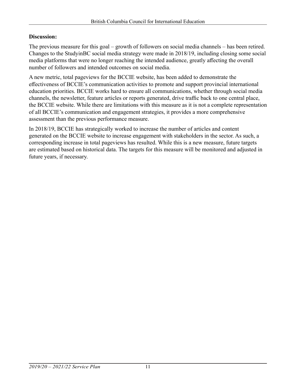#### **Discussion:**

The previous measure for this goal – growth of followers on social media channels – has been retired. Changes to the StudyinBC social media strategy were made in 2018/19, including closing some social media platforms that were no longer reaching the intended audience, greatly affecting the overall number of followers and intended outcomes on social media.

A new metric, total pageviews for the BCCIE website, has been added to demonstrate the effectiveness of BCCIE's communication activities to promote and support provincial international education priorities. BCCIE works hard to ensure all communications, whether through social media channels, the newsletter, feature articles or reports generated, drive traffic back to one central place, the BCCIE website. While there are limitations with this measure as it is not a complete representation of all BCCIE's communication and engagement strategies, it provides a more comprehensive assessment than the previous performance measure.

In 2018/19, BCCIE has strategically worked to increase the number of articles and content generated on the BCCIE website to increase engagement with stakeholders in the sector. As such, a corresponding increase in total pageviews has resulted. While this is a new measure, future targets are estimated based on historical data. The targets for this measure will be monitored and adjusted in future years, if necessary.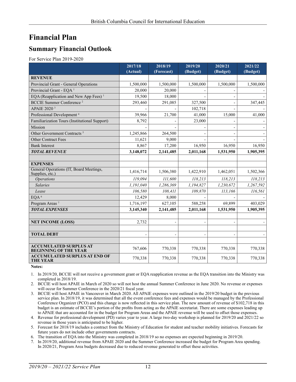# **Financial Plan**

### **Summary Financial Outlook**

For Service Plan 2019-2020

|                                                               | 2017/18   | 2018/19    | 2019/20   | 2020/21                  | 2021/22   |
|---------------------------------------------------------------|-----------|------------|-----------|--------------------------|-----------|
|                                                               | (Actual)  | (Forecast) | (Budget)  | (Budget)                 | (Budget)  |
| <b>REVENUE</b>                                                |           |            |           |                          |           |
| Provincial Grant - General Operations                         | 1,500,000 | 1,500,000  | 1,500,000 | 1,500,000                | 1,500,000 |
| Provincial Grant - EQA <sup>1</sup>                           | 20,000    | 20,000     |           |                          |           |
| EQA (Reapplication and New App Fees) <sup>1</sup>             | 19,500    | 18,000     |           |                          |           |
| <b>BCCIE Summer Conference</b> <sup>2</sup>                   | 293,460   | 291,085    | 327,500   | $\overline{\phantom{a}}$ | 347,445   |
| APAIE 2020 <sup>3</sup>                                       |           |            | 102,718   |                          |           |
| Professional Development <sup>4</sup>                         | 39,966    | 21,700     | 41,000    | 15,000                   | 41,000    |
| Familiarization Tours (Institutional Support)                 | 8,792     |            | 23,000    |                          |           |
| Mission                                                       |           |            |           |                          |           |
| Other Government Contracts <sup>5</sup>                       | 1,245,866 | 264,500    |           | $\overline{\phantom{0}}$ |           |
| <b>Other Contract Fees</b>                                    | 11,621    | 9,000      |           |                          |           |
| <b>Bank Interest</b>                                          | 8,867     | 17,200     | 16,950    | 16,950                   | 16,950    |
| <b>TOTAL REVENUE</b>                                          | 3,148,072 | 2,141,485  | 2,011,168 | 1,531,950                | 1,905,395 |
|                                                               |           |            |           |                          |           |
| <b>EXPENSES</b>                                               |           |            |           |                          |           |
| General Operations (IT, Board Meetings,<br>Supplies, etc.)    | 1,416,714 | 1,506,380  | 1,422,910 | 1,462,051                | 1,502,366 |
| <b>Operations</b>                                             | 119.094   | 111,600    | 118,213   | 118,213                  | 118,213   |
| <b>Salaries</b>                                               | 1,191,040 | 1,286,369  | 1,194,827 | 1,230,672                | 1,267,592 |
| Lease                                                         | 106,580   | 108,411    | 109,870   | 113,166                  | 116,561   |
| EQA <sup>6</sup>                                              | 12,429    | 8,000      |           |                          |           |
| Program Areas <sup>7</sup>                                    | 1,716,197 | 627,105    | 588,258   | 69,899                   | 403,029   |
| <b>TOTAL EXPENSES</b>                                         | 3,145,340 | 2,141,485  | 2,011,168 | 1,531,950                | 1,905,395 |
|                                                               |           |            |           |                          |           |
| <b>NET INCOME (LOSS)</b>                                      | 2,732     |            |           |                          |           |
|                                                               |           |            |           |                          |           |
| <b>TOTAL DEBT</b>                                             |           |            |           |                          |           |
|                                                               |           |            |           |                          |           |
| <b>ACCUMULATED SURPLUS AT</b><br><b>BEGINNING OF THE YEAR</b> | 767,606   | 770,338    | 770,338   | 770,338                  | 770,338   |
| <b>ACCUMULATED SURPLUS AT END OF</b><br><b>THE YEAR</b>       | 770,338   | 770,338    | 770,338   | 770,338                  | 770,338   |

**Notes:**

1. In 2019/20, BCCIE will not receive a government grant or EQA reapplication revenue as the EQA transition into the Ministry was completed in 2018/19.

2. BCCIE will host APAIE in March of 2020 so will not host the annual Summer Conference in June 2020. No revenue or expenses will occur for Summer Conference in the 2020/21 fiscal year.

3. BCCIE will host APAIE in Vancouver in March 2020. All APAIE expenses were outlined in the 2019/20 budget in the previous service plan. In 2018/19, it was determined that all the event conference fees and expenses would be managed by the Professional Conference Organizer (PCO) and this change is now reflected in this service plan. The new amount of revenue of \$102,718 in this budget is an estimate of BCCIE's portion of the profits from acting as the APAIE secretariat. There are some expenses leading up to APAIE that are accounted for in the budget for Program Areas and the APAIE revenue will be used to offset those expenses.

4. Revenue for professional development (PD) varies year to year. A large two-day workshop is planned for 2019/20 and 2021/22 so revenue in those years is anticipated to be higher.

5. Forecast for 2018/19 includes a contract from the Ministry of Education for student and teacher mobility initiatives. Forecasts for future years do not include other governments contracts.

6. The transition of EQA into the Ministry was completed in 2018/19 so no expenses are expected beginning in 2019/20.

7. In 2019/20, additional revenue from APAIE 2020 and the Summer Conference increased the budget for Program Area spending. In 2020/21, Program Area budgets decreased due to reduced revenue generated to offset these activities.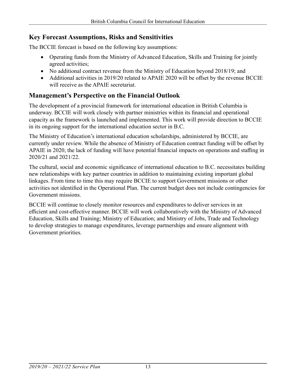#### **Key Forecast Assumptions, Risks and Sensitivities**

The BCCIE forecast is based on the following key assumptions:

- Operating funds from the Ministry of Advanced Education, Skills and Training for jointly agreed activities;
- No additional contract revenue from the Ministry of Education beyond 2018/19; and
- Additional activities in 2019/20 related to APAIE 2020 will be offset by the revenue BCCIE will receive as the APAIE secretariat.

### **Management's Perspective on the Financial Outlook**

The development of a provincial framework for international education in British Columbia is underway. BCCIE will work closely with partner ministries within its financial and operational capacity as the framework is launched and implemented. This work will provide direction to BCCIE in its ongoing support for the international education sector in B.C.

The Ministry of Education's international education scholarships, administered by BCCIE, are currently under review. While the absence of Ministry of Education contract funding will be offset by APAIE in 2020, the lack of funding will have potential financial impacts on operations and staffing in 2020/21 and 2021/22.

The cultural, social and economic significance of international education to B.C. necessitates building new relationships with key partner countries in addition to maintaining existing important global linkages. From time to time this may require BCCIE to support Government missions or other activities not identified in the Operational Plan. The current budget does not include contingencies for Government missions.

BCCIE will continue to closely monitor resources and expenditures to deliver services in an efficient and cost-effective manner. BCCIE will work collaboratively with the Ministry of Advanced Education, Skills and Training; Ministry of Education; and Ministry of Jobs, Trade and Technology to develop strategies to manage expenditures, leverage partnerships and ensure alignment with Government priorities.